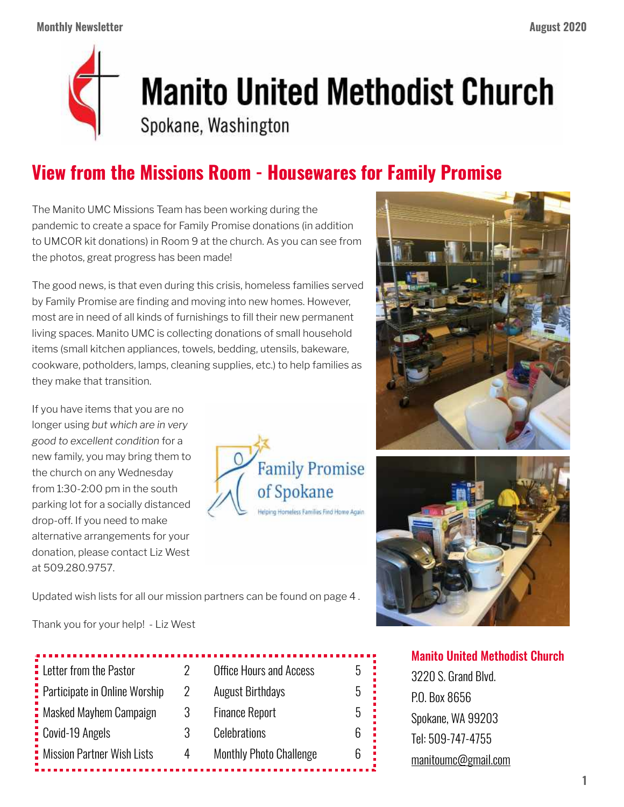

## **Manito United Methodist Church**

Spokane, Washington

## **View from the Missions Room - Housewares for Family Promise**

The Manito UMC Missions Team has been working during the pandemic to create a space for Family Promise donations (in addition to UMCOR kit donations) in Room 9 at the church. As you can see from the photos, great progress has been made!

The good news, is that even during this crisis, homeless families served by Family Promise are finding and moving into new homes. However, most are in need of all kinds of furnishings to fill their new permanent living spaces. Manito UMC is collecting donations of small household items (small kitchen appliances, towels, bedding, utensils, bakeware, cookware, potholders, lamps, cleaning supplies, etc.) to help families as they make that transition.

If you have items that you are no longer using *but which are in very good to excellent condition* for a new family, you may bring them to the church on any Wednesday from 1:30-2:00 pm in the south parking lot for a socially distanced drop-off. If you need to make alternative arrangements for your donation, please contact Liz West at 509.280.9757.





Updated wish lists for all our mission partners can be found on page 4 .

Thank you for your help! - Liz West

| <b>Office Hours and Access</b><br>h |
|-------------------------------------|
| <b>August Birthdays</b><br>٠h       |
| <b>Finance Report</b><br>h          |
| <b>Celebrations</b>                 |
| <b>Monthly Photo Challenge</b>      |
|                                     |

Manito United Methodist Church

3220 S. Grand Blvd. P.O. Box 8656 Spokane, WA 99203 Tel: 509-747-4755 [manitoumc@gmail.com](mailto:manitoumc@gmail.com)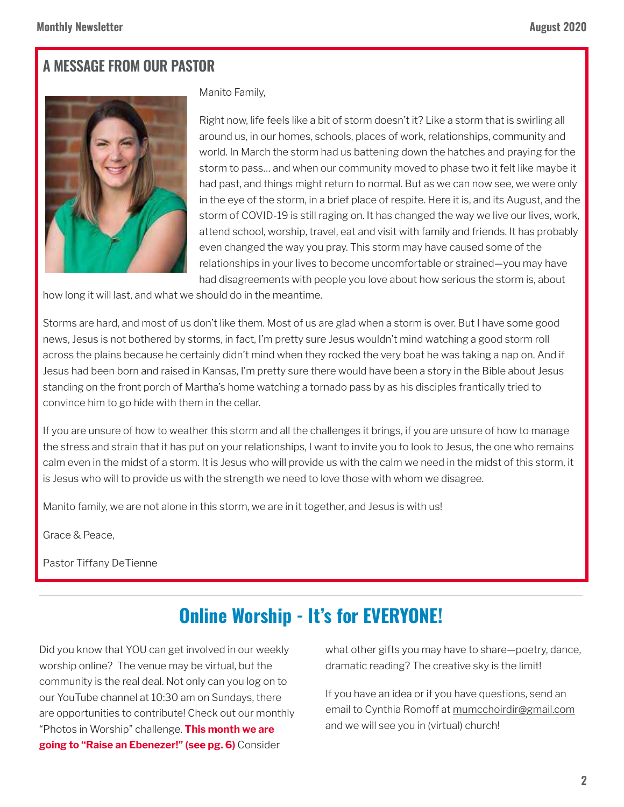### **A MESSAGE FROM OUR PASTOR**



Manito Family,

Right now, life feels like a bit of storm doesn't it? Like a storm that is swirling all around us, in our homes, schools, places of work, relationships, community and world. In March the storm had us battening down the hatches and praying for the storm to pass… and when our community moved to phase two it felt like maybe it had past, and things might return to normal. But as we can now see, we were only in the eye of the storm, in a brief place of respite. Here it is, and its August, and the storm of COVID-19 is still raging on. It has changed the way we live our lives, work, attend school, worship, travel, eat and visit with family and friends. It has probably even changed the way you pray. This storm may have caused some of the relationships in your lives to become uncomfortable or strained—you may have had disagreements with people you love about how serious the storm is, about

how long it will last, and what we should do in the meantime.

Storms are hard, and most of us don't like them. Most of us are glad when a storm is over. But I have some good news, Jesus is not bothered by storms, in fact, I'm pretty sure Jesus wouldn't mind watching a good storm roll across the plains because he certainly didn't mind when they rocked the very boat he was taking a nap on. And if Jesus had been born and raised in Kansas, I'm pretty sure there would have been a story in the Bible about Jesus standing on the front porch of Martha's home watching a tornado pass by as his disciples frantically tried to convince him to go hide with them in the cellar.

If you are unsure of how to weather this storm and all the challenges it brings, if you are unsure of how to manage the stress and strain that it has put on your relationships, I want to invite you to look to Jesus, the one who remains calm even in the midst of a storm. It is Jesus who will provide us with the calm we need in the midst of this storm, it is Jesus who will to provide us with the strength we need to love those with whom we disagree.

Manito family, we are not alone in this storm, we are in it together, and Jesus is with us!

Grace & Peace,

Pastor Tiffany DeTienne

## **Online Worship - It's for EVERYONE!**

Did you know that YOU can get involved in our weekly worship online? The venue may be virtual, but the community is the real deal. Not only can you log on to our YouTube channel at 10:30 am on Sundays, there are opportunities to contribute! Check out our monthly "Photos in Worship" challenge. **This month we are going to "Raise an Ebenezer!" (see pg. 6)** Consider

what other gifts you may have to share—poetry, dance, dramatic reading? The creative sky is the limit!

If you have an idea or if you have questions, send an email to Cynthia Romoff at [mumcchoirdir@gmail.com](mailto:mumcchoirdir@gmail.com) and we will see you in (virtual) church!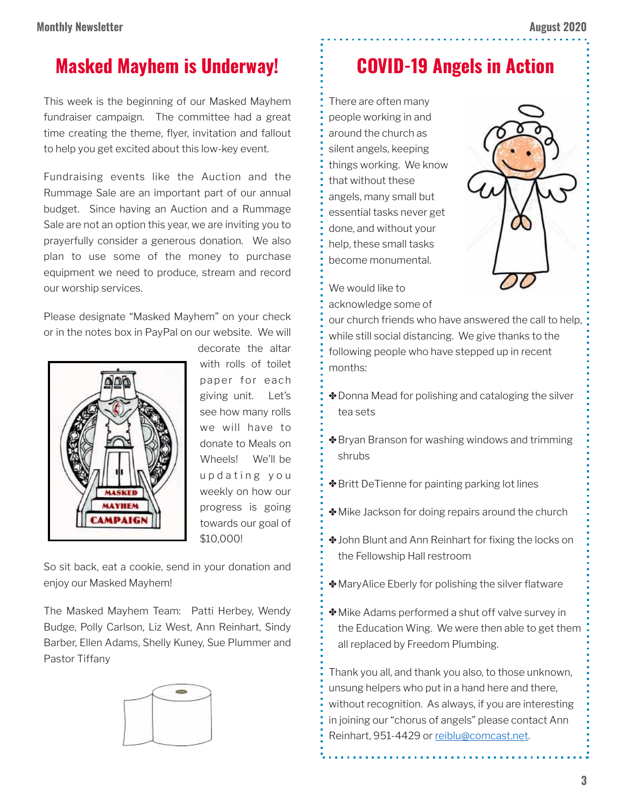## **Masked Mayhem is Underway!**

This week is the beginning of our Masked Mayhem fundraiser campaign. The committee had a great time creating the theme, flyer, invitation and fallout to help you get excited about this low-key event.

Fundraising events like the Auction and the Rummage Sale are an important part of our annual budget. Since having an Auction and a Rummage Sale are not an option this year, we are inviting you to prayerfully consider a generous donation. We also plan to use some of the money to purchase equipment we need to produce, stream and record our worship services.

Please designate "Masked Mayhem" on your check or in the notes box in PayPal on our website. We will



decorate the altar with rolls of toilet paper for each giving unit. Let's see how many rolls we will have to donate to Meals on Wheels! We'll be u p d a t i n g y o u weekly on how our progress is going towards our goal of \$10,000!

So sit back, eat a cookie, send in your donation and enjoy our Masked Mayhem!

The Masked Mayhem Team: Patti Herbey, Wendy Budge, Polly Carlson, Liz West, Ann Reinhart, Sindy Barber, Ellen Adams, Shelly Kuney, Sue Plummer and Pastor Tiffany



## **COVID-19 Angels in Action**

There are often many people working in and around the church as silent angels, keeping things working. We know that without these angels, many small but essential tasks never get done, and without your help, these small tasks become monumental.



- We would like to
- acknowledge some of

our church friends who have answered the call to help, while still social distancing. We give thanks to the following people who have stepped up in recent months:

- ✤Donna Mead for polishing and cataloging the silver tea sets
- **❖** Bryan Branson for washing windows and trimming shrubs
- ✤Britt DeTienne for painting parking lot lines
- ✤Mike Jackson for doing repairs around the church
- ✤John Blunt and Ann Reinhart for fixing the locks on the Fellowship Hall restroom
- ✤MaryAlice Eberly for polishing the silver flatware
- ✤Mike Adams performed a shut off valve survey in the Education Wing. We were then able to get them all replaced by Freedom Plumbing.

Thank you all, and thank you also, to those unknown, unsung helpers who put in a hand here and there, without recognition. As always, if you are interesting in joining our "chorus of angels" please contact Ann Reinhart, 951-4429 or [reiblu@comcast.net](mailto:reiblu@comcast.net).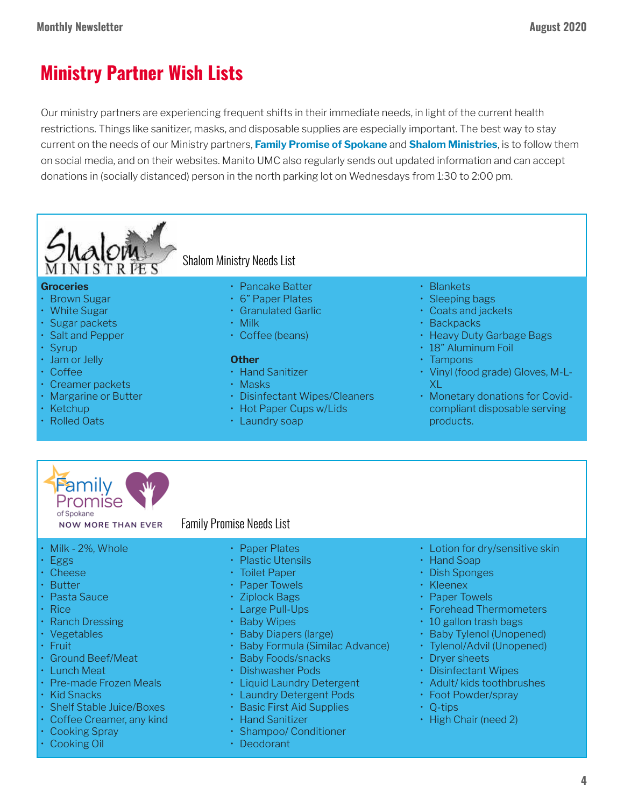## **Ministry Partner Wish Lists**

Our ministry partners are experiencing frequent shifts in their immediate needs, in light of the current health restrictions. Things like sanitizer, masks, and disposable supplies are especially important. The best way to stay current on the needs of our Ministry partners, **Family Promise of Spokane** and **Shalom Ministries**, is to follow them on social media, and on their websites. Manito UMC also regularly sends out updated information and can accept donations in (socially distanced) person in the north parking lot on Wednesdays from 1:30 to 2:00 pm.



#### **Groceries**

- Brown Sugar
- White Sugar
- Sugar packets
- Salt and Pepper
- Syrup
- Jam or Jelly
- Coffee
- Creamer packets
- Margarine or Butter
- Ketchup
- Rolled Oats

#### Shalom Ministry Needs List

- Pancake Batter
- 6" Paper Plates
- Granulated Garlic
- Milk
- Coffee (beans)

#### **Other**

- Hand Sanitizer
- Masks
- Disinfectant Wipes/Cleaners
- Hot Paper Cups w/Lids
- Laundry soap

#### • Blankets

- Sleeping bags
- Coats and jackets
- Backpacks
- Heavy Duty Garbage Bags
- 18" Aluminum Foil
- Tampons
- Vinyl (food grade) Gloves, M-L-XL
- Monetary donations for Covidcompliant disposable serving products.



**NOW MORE THAN EVER** 

#### Family Promise Needs List

- Milk 2%, Whole
- Eggs
- Cheese
- Butter
- Pasta Sauce
- Rice
- Ranch Dressing
- Vegetables
- Fruit
- Ground Beef/Meat
- Lunch Meat
- Pre-made Frozen Meals
- Kid Snacks
- Shelf Stable Juice/Boxes
- Coffee Creamer, any kind
- Cooking Spray
- Cooking Oil
- Paper Plates
- Plastic Utensils
- Toilet Paper
- Paper Towels
- Ziplock Bags
- Large Pull-Ups
- Baby Wipes
- Baby Diapers (large)
- Baby Formula (Similac Advance)
- Baby Foods/snacks
- Dishwasher Pods
- Liquid Laundry Detergent
- Laundry Detergent Pods
- Basic First Aid Supplies
- Hand Sanitizer
- Shampoo/ Conditioner
- Deodorant
- Lotion for dry/sensitive skin
- Hand Soap
- Dish Sponges
- Kleenex
- Paper Towels
- Forehead Thermometers
- 10 gallon trash bags
- Baby Tylenol (Unopened)
- Tylenol/Advil (Unopened)
- Dryer sheets
- Disinfectant Wipes
- Adult/ kids toothbrushes
- Foot Powder/spray
- Q-tips
- High Chair (need 2)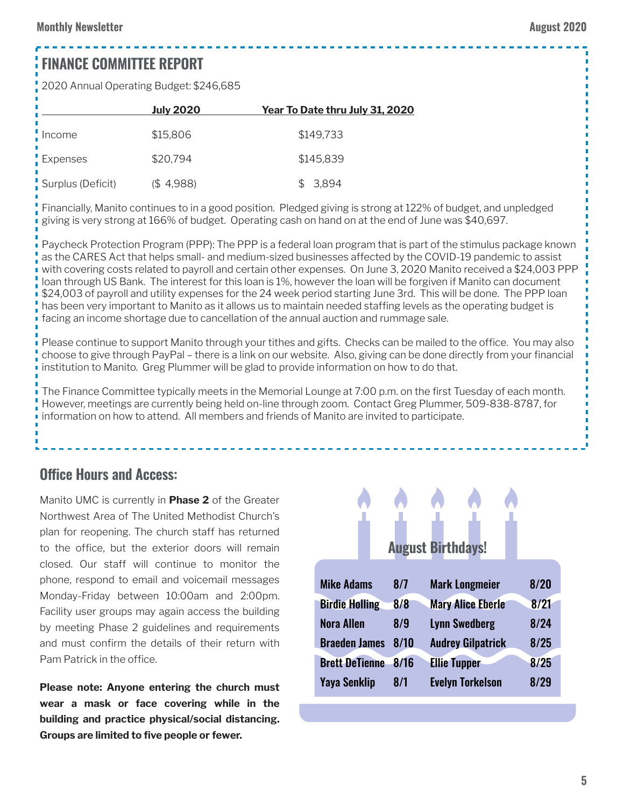## **FINANCE COMMITTEE REPORT**

2020 Annual Operating Budget: \$246,685

|                   | <b>July 2020</b> | Year To Date thru July 31, 2020 |
|-------------------|------------------|---------------------------------|
| . Income          | \$15,806         | \$149,733                       |
| Expenses          | \$20,794         | \$145,839                       |
| Surplus (Deficit) | (\$4,988)        | \$3,894                         |

Financially, Manito continues to in a good position. Pledged giving is strong at 122% of budget, and unpledged giving is very strong at 166% of budget. Operating cash on hand on at the end of June was \$40,697.

Paycheck Protection Program (PPP): The PPP is a federal loan program that is part of the stimulus package known as the CARES Act that helps small- and medium-sized businesses affected by the COVID-19 pandemic to assist with covering costs related to payroll and certain other expenses. On June 3, 2020 Manito received a \$24,003 PPP loan through US Bank. The interest for this loan is 1%, however the loan will be forgiven if Manito can document \$24,003 of payroll and utility expenses for the 24 week period starting June 3rd. This will be done. The PPP loan has been very important to Manito as it allows us to maintain needed staffing levels as the operating budget is facing an income shortage due to cancellation of the annual auction and rummage sale.

Please continue to support Manito through your tithes and gifts. Checks can be mailed to the office. You may also choose to give through PayPal – there is a link on our website. Also, giving can be done directly from your financial institution to Manito. Greg Plummer will be glad to provide information on how to do that.

The Finance Committee typically meets in the Memorial Lounge at 7:00 p.m. on the first Tuesday of each month. However, meetings are currently being held on-line through zoom. Contact Greg Plummer, 509-838-8787, for information on how to attend. All members and friends of Manito are invited to participate.

#### **Office Hours and Access:**

Manito UMC is currently in **Phase 2** of the Greater Northwest Area of The United Methodist Church's plan for reopening. The church staff has returned to the office, but the exterior doors will remain closed. Our staff will continue to monitor the phone, respond to email and voicemail messages Monday-Friday between 10:00am and 2:00pm. Facility user groups may again access the building by meeting Phase 2 guidelines and requirements and must confirm the details of their return with Pam Patrick in the office.

**Please note: Anyone entering the church must wear a mask or face covering while in the building and practice physical/social distancing. Groups are limited to five people or fewer.**

# **August Birthdays!**

| <b>Mike Adams</b>     | 8/7  | <b>Mark Longmeier</b>    | 8/20 |
|-----------------------|------|--------------------------|------|
| <b>Birdie Holling</b> | 8/8  | <b>Mary Alice Eberle</b> | 8/21 |
| <b>Nora Allen</b>     | 8/9  | <b>Lynn Swedberg</b>     | 8/24 |
| <b>Braeden James</b>  | 8/10 | <b>Audrey Gilpatrick</b> | 8/25 |
| <b>Brett DeTienne</b> | 8/16 | <b>Ellie Tupper</b>      | 8/25 |
| <b>Yaya Senklip</b>   | 8/1  | <b>Evelyn Torkelson</b>  | 8/29 |